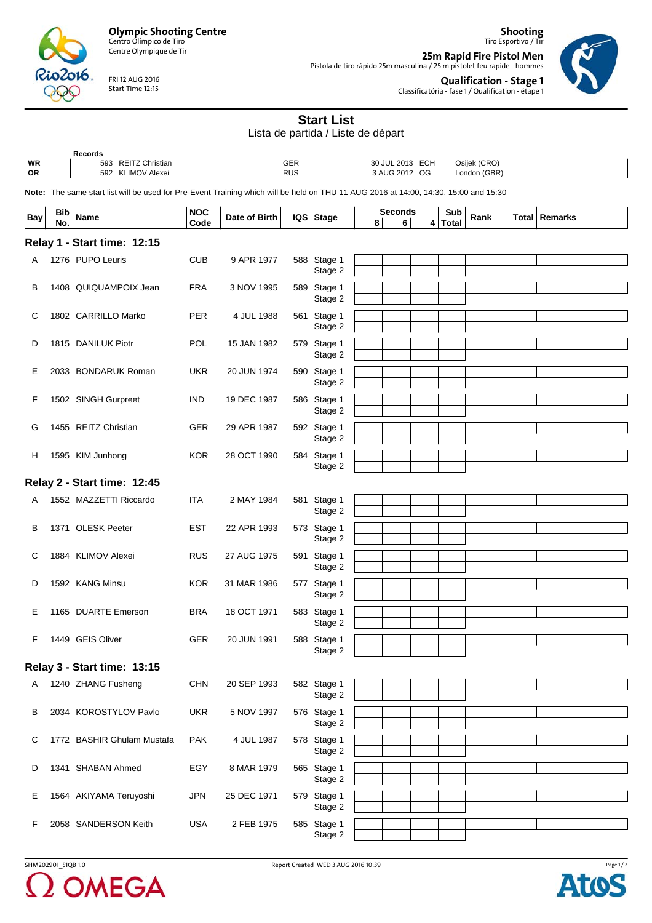

Centre Olympique de Tir

FRI 12 AUG 2016 Start Time 12:15

 $2016$ 

Tiro Esportivo / Tir **25m Rapid Fire Pistol Men** Pistola de tiro rápido 25m masculina / 25 m pistolet feu rapide - hommes



**Qualification - Stage 1** Classificatória - fase 1 / Qualification - étape 1

**Shooting**

## **Start List**

Lista de partida / Liste de départ

|    | Records                       |                  |                                    |              |
|----|-------------------------------|------------------|------------------------------------|--------------|
| WR | <b>REITZ Christian</b><br>593 | $\cap$ ED<br>ucr | <b>ECH</b><br>.2013<br>30<br>) JUL | Osijek (CRO) |
| OR | <b>KLIMOV Alexei</b><br>592   | <b>RUS</b>       | OG<br>$\lambda$ AUG 2012           | London (GBR) |
|    |                               |                  |                                    |              |

**Note:** The same start list will be used for Pre-Event Training which will be held on THU 11 AUG 2016 at 14:00, 14:30, 15:00 and 15:30

| Bay                         | <b>Bib</b><br>No. | <b>Name</b>                 | <b>NOC</b><br>Code | Date of Birth |  | $IQS$ Stage            | 8 | <b>Seconds</b><br>6 | 4 | Sub<br>Total | Rank | Total   Remarks |
|-----------------------------|-------------------|-----------------------------|--------------------|---------------|--|------------------------|---|---------------------|---|--------------|------|-----------------|
| Relay 1 - Start time: 12:15 |                   |                             |                    |               |  |                        |   |                     |   |              |      |                 |
| Α                           |                   | 1276 PUPO Leuris            | <b>CUB</b>         | 9 APR 1977    |  | 588 Stage 1            |   |                     |   |              |      |                 |
|                             |                   |                             |                    |               |  | Stage 2                |   |                     |   |              |      |                 |
| в                           |                   | 1408 QUIQUAMPOIX Jean       | <b>FRA</b>         | 3 NOV 1995    |  | 589 Stage 1            |   |                     |   |              |      |                 |
|                             |                   |                             |                    |               |  | Stage 2                |   |                     |   |              |      |                 |
| С                           |                   | 1802 CARRILLO Marko         | <b>PER</b>         | 4 JUL 1988    |  | 561 Stage 1            |   |                     |   |              |      |                 |
|                             |                   |                             |                    |               |  | Stage 2                |   |                     |   |              |      |                 |
| D                           |                   | 1815 DANILUK Piotr          | <b>POL</b>         | 15 JAN 1982   |  | 579 Stage 1            |   |                     |   |              |      |                 |
|                             |                   |                             |                    |               |  | Stage 2                |   |                     |   |              |      |                 |
| Е                           |                   | 2033 BONDARUK Roman         | <b>UKR</b>         | 20 JUN 1974   |  | 590 Stage 1            |   |                     |   |              |      |                 |
|                             |                   |                             |                    |               |  | Stage 2                |   |                     |   |              |      |                 |
| F                           |                   | 1502 SINGH Gurpreet         | <b>IND</b>         | 19 DEC 1987   |  | 586 Stage 1            |   |                     |   |              |      |                 |
|                             |                   |                             |                    |               |  | Stage 2                |   |                     |   |              |      |                 |
| G                           |                   | 1455 REITZ Christian        | <b>GER</b>         | 29 APR 1987   |  | 592 Stage 1            |   |                     |   |              |      |                 |
|                             |                   |                             |                    |               |  | Stage 2                |   |                     |   |              |      |                 |
| н                           |                   | 1595 KIM Junhong            | <b>KOR</b>         | 28 OCT 1990   |  | 584 Stage 1            |   |                     |   |              |      |                 |
|                             |                   |                             |                    |               |  | Stage 2                |   |                     |   |              |      |                 |
|                             |                   | Relay 2 - Start time: 12:45 |                    |               |  |                        |   |                     |   |              |      |                 |
| A                           |                   | 1552 MAZZETTI Riccardo      | <b>ITA</b>         | 2 MAY 1984    |  | 581 Stage 1            |   |                     |   |              |      |                 |
|                             |                   |                             |                    |               |  | Stage 2                |   |                     |   |              |      |                 |
| в                           |                   | 1371 OLESK Peeter           | <b>EST</b>         | 22 APR 1993   |  | 573 Stage 1            |   |                     |   |              |      |                 |
|                             |                   |                             |                    |               |  | Stage 2                |   |                     |   |              |      |                 |
| С                           |                   | 1884 KLIMOV Alexei          | <b>RUS</b>         | 27 AUG 1975   |  | 591 Stage 1            |   |                     |   |              |      |                 |
|                             |                   |                             |                    |               |  | Stage 2                |   |                     |   |              |      |                 |
| D                           |                   | 1592 KANG Minsu             | <b>KOR</b>         | 31 MAR 1986   |  | 577 Stage 1            |   |                     |   |              |      |                 |
|                             |                   |                             |                    |               |  | Stage 2                |   |                     |   |              |      |                 |
| Е                           |                   | 1165 DUARTE Emerson         | <b>BRA</b>         | 18 OCT 1971   |  | 583 Stage 1            |   |                     |   |              |      |                 |
|                             |                   |                             |                    |               |  | Stage 2                |   |                     |   |              |      |                 |
| F                           |                   | 1449 GEIS Oliver            | <b>GER</b>         | 20 JUN 1991   |  | 588 Stage 1            |   |                     |   |              |      |                 |
|                             |                   |                             |                    |               |  | Stage 2                |   |                     |   |              |      |                 |
|                             |                   | Relay 3 - Start time: 13:15 |                    |               |  |                        |   |                     |   |              |      |                 |
|                             |                   | 1240 ZHANG Fusheng          | <b>CHN</b>         | 20 SEP 1993   |  |                        |   |                     |   |              |      |                 |
| A                           |                   |                             |                    |               |  | 582 Stage 1<br>Stage 2 |   |                     |   |              |      |                 |
|                             |                   |                             |                    |               |  |                        |   |                     |   |              |      |                 |
| в                           |                   | 2034 KOROSTYLOV Pavlo       | <b>UKR</b>         | 5 NOV 1997    |  | 576 Stage 1<br>Stage 2 |   |                     |   |              |      |                 |
|                             |                   |                             |                    |               |  |                        |   |                     |   |              |      |                 |
| C                           |                   | 1772 BASHIR Ghulam Mustafa  | <b>PAK</b>         | 4 JUL 1987    |  | 578 Stage 1<br>Stage 2 |   |                     |   |              |      |                 |
|                             |                   |                             |                    |               |  |                        |   |                     |   |              |      |                 |
| D                           |                   | 1341 SHABAN Ahmed           | EGY                | 8 MAR 1979    |  | 565 Stage 1            |   |                     |   |              |      |                 |
|                             |                   |                             |                    |               |  | Stage 2                |   |                     |   |              |      |                 |
| Е                           |                   | 1564 AKIYAMA Teruyoshi      | <b>JPN</b>         | 25 DEC 1971   |  | 579 Stage 1            |   |                     |   |              |      |                 |
|                             |                   |                             |                    |               |  | Stage 2                |   |                     |   |              |      |                 |
| F                           |                   | 2058 SANDERSON Keith        | <b>USA</b>         | 2 FEB 1975    |  | 585 Stage 1            |   |                     |   |              |      |                 |
|                             |                   |                             |                    |               |  | Stage 2                |   |                     |   |              |      |                 |